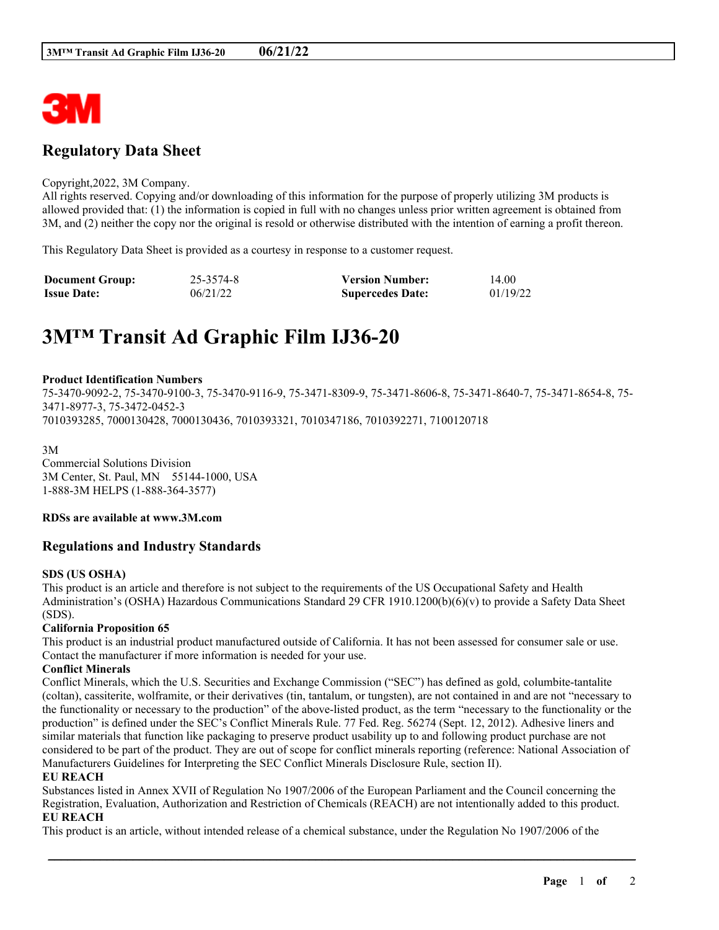

## **Regulatory Data Sheet**

#### Copyright,2022, 3M Company.

All rights reserved. Copying and/or downloading of this information for the purpose of properly utilizing 3M products is allowed provided that: (1) the information is copied in full with no changes unless prior written agreement is obtained from 3M, and (2) neither the copy nor the original is resold or otherwise distributed with the intention of earning a profit thereon.

This Regulatory Data Sheet is provided as a courtesy in response to a customer request.

| <b>Document Group:</b> | 25-3574-8 | <b>Version Number:</b>  | 14.00    |
|------------------------|-----------|-------------------------|----------|
| <b>Issue Date:</b>     | 06/21/22  | <b>Supercedes Date:</b> | 01/19/22 |

# **3M™ Transit Ad Graphic Film IJ36-20**

#### **Product Identification Numbers**

75-3470-9092-2, 75-3470-9100-3, 75-3470-9116-9, 75-3471-8309-9, 75-3471-8606-8, 75-3471-8640-7, 75-3471-8654-8, 75- 3471-8977-3, 75-3472-0452-3 7010393285, 7000130428, 7000130436, 7010393321, 7010347186, 7010392271, 7100120718

3M Commercial Solutions Division 3M Center, St. Paul, MN 55144-1000, USA 1-888-3M HELPS (1-888-364-3577)

**RDSs are available at www.3M.com**

## **Regulations and Industry Standards**

#### **SDS (US OSHA)**

This product is an article and therefore is not subject to the requirements of the US Occupational Safety and Health Administration's (OSHA) Hazardous Communications Standard 29 CFR 1910.1200(b)(6)(v) to provide a Safety Data Sheet (SDS).

#### **California Proposition 65**

This product is an industrial product manufactured outside of California. It has not been assessed for consumer sale or use. Contact the manufacturer if more information is needed for your use.

#### **Conflict Minerals**

Conflict Minerals, which the U.S. Securities and Exchange Commission ("SEC") has defined as gold, columbite-tantalite (coltan), cassiterite, wolframite, or their derivatives (tin, tantalum, or tungsten), are not contained in and are not "necessary to the functionality or necessary to the production" of the above-listed product, as the term "necessary to the functionality or the production" is defined under the SEC's Conflict Minerals Rule. 77 Fed. Reg. 56274 (Sept. 12, 2012). Adhesive liners and similar materials that function like packaging to preserve product usability up to and following product purchase are not considered to be part of the product. They are out of scope for conflict minerals reporting (reference: National Association of Manufacturers Guidelines for Interpreting the SEC Conflict Minerals Disclosure Rule, section II).

#### **EU REACH**

Substances listed in Annex XVII of Regulation No 1907/2006 of the European Parliament and the Council concerning the Registration, Evaluation, Authorization and Restriction of Chemicals (REACH) are not intentionally added to this product. **EU REACH**

\_\_\_\_\_\_\_\_\_\_\_\_\_\_\_\_\_\_\_\_\_\_\_\_\_\_\_\_\_\_\_\_\_\_\_\_\_\_\_\_\_\_\_\_\_\_\_\_\_\_\_\_\_\_\_\_\_\_\_\_\_\_\_\_\_\_\_\_\_\_\_\_\_\_\_\_\_\_\_\_\_\_\_\_\_\_\_\_\_\_

This product is an article, without intended release of a chemical substance, under the Regulation No 1907/2006 of the